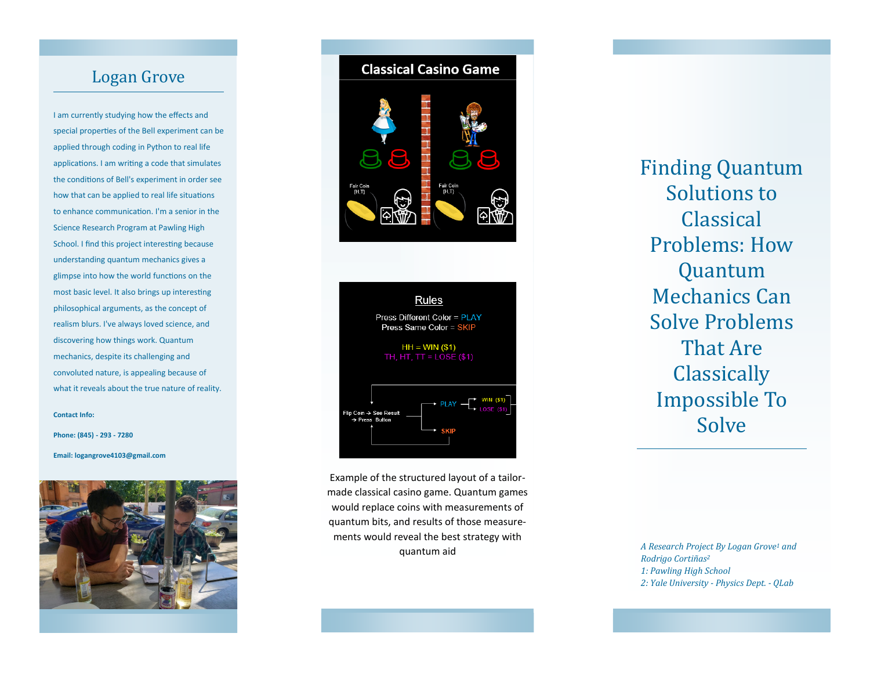# Logan Grove

I am currently studying how the effects and special properties of the Bell experiment can be applied through coding in Python to real life applications. I am writing a code that simulates the conditions of Bell's experiment in order see how that can be applied to real life situations to enhance communication. I'm a senior in the Science Research Program at Pawling High School. I find this project interesting because understanding quantum mechanics gives a glimpse into how the world functions on the most basic level. It also brings up interesting philosophical arguments, as the concept of realism blurs. I've always loved science, and discovering how things work. Quantum mechanics, despite its challenging and convoluted nature, is appealing because of what it reveals about the true nature of reality.

**Contact Info:** 

**Phone: (845) - 293 - 7280**

**Email: logangrove4103@gmail.com**







Example of the structured layout of a tailor made classical casino game. Quantum games would replace coins with measurements of quantum bits, and results of those measurements would reveal the best strategy with quantum aid

Finding Quantum Solutions to Classical Problems: How Quantum Mechanics Can Solve Problems That Are **Classically** Impossible To Solve

*A Research Project By Logan Grove <sup>1</sup> and Rodrigo Cortiñas<sup>2</sup> 1: Pawling High School 2: Yale University - Physics Dept. - QLab*